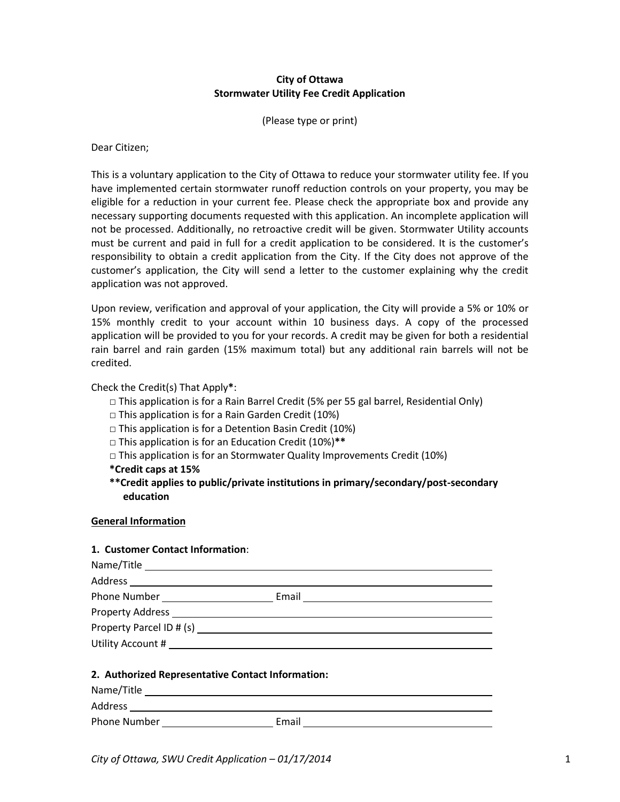# **City of Ottawa Stormwater Utility Fee Credit Application**

(Please type or print)

Dear Citizen;

This is a voluntary application to the City of Ottawa to reduce your stormwater utility fee. If you have implemented certain stormwater runoff reduction controls on your property, you may be eligible for a reduction in your current fee. Please check the appropriate box and provide any necessary supporting documents requested with this application. An incomplete application will not be processed. Additionally, no retroactive credit will be given. Stormwater Utility accounts must be current and paid in full for a credit application to be considered. It is the customer's responsibility to obtain a credit application from the City. If the City does not approve of the customer's application, the City will send a letter to the customer explaining why the credit application was not approved.

Upon review, verification and approval of your application, the City will provide a 5% or 10% or 15% monthly credit to your account within 10 business days. A copy of the processed application will be provided to you for your records. A credit may be given for both a residential rain barrel and rain garden (15% maximum total) but any additional rain barrels will not be credited.

Check the Credit(s) That Apply**\***:

- □ This application is for a Rain Barrel Credit (5% per 55 gal barrel, Residential Only)
- $\Box$  This application is for a Rain Garden Credit (10%)
- □ This application is for a Detention Basin Credit (10%)
- □ This application is for an Education Credit (10%)**\*\***
- $\Box$  This application is for an Stormwater Quality Improvements Credit (10%)
- **\*Credit caps at 15%**
- **\*\*Credit applies to public/private institutions in primary/secondary/post-secondary education**

### **General Information**

### **1. Customer Contact Information**:

| Name/Title and the state of the state of the state of the state of the state of the state of the state of the |       |  |
|---------------------------------------------------------------------------------------------------------------|-------|--|
| Address ______________________                                                                                |       |  |
| <b>Phone Number</b> Phone Number                                                                              | Email |  |
| Property Address                                                                                              |       |  |
| Property Parcel ID # (s)                                                                                      |       |  |
| Utility Account #                                                                                             |       |  |

### **2. Authorized Representative Contact Information:**

| Name/Title   |       |
|--------------|-------|
| Address      |       |
| Phone Number | Email |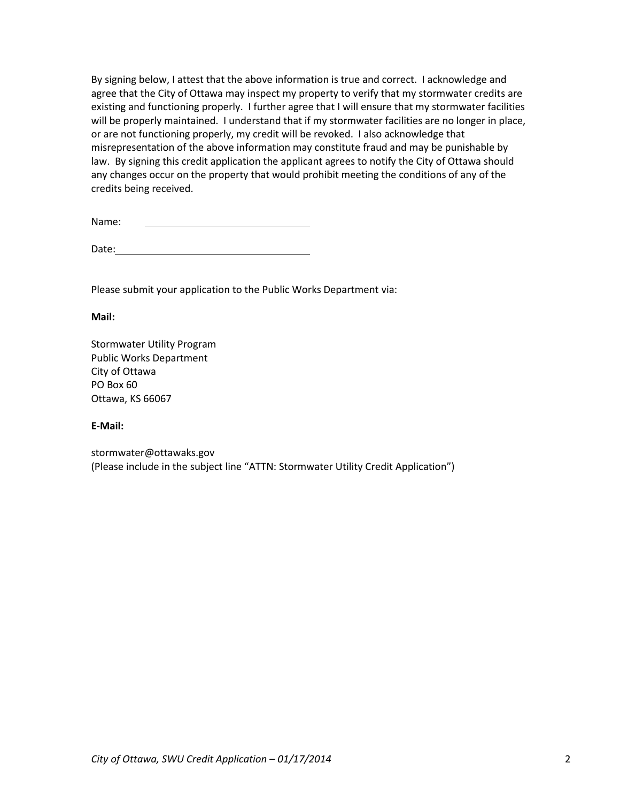By signing below, I attest that the above information is true and correct. I acknowledge and agree that the City of Ottawa may inspect my property to verify that my stormwater credits are existing and functioning properly. I further agree that I will ensure that my stormwater facilities will be properly maintained. I understand that if my stormwater facilities are no longer in place, or are not functioning properly, my credit will be revoked. I also acknowledge that misrepresentation of the above information may constitute fraud and may be punishable by law. By signing this credit application the applicant agrees to notify the City of Ottawa should any changes occur on the property that would prohibit meeting the conditions of any of the credits being received.

| Name: |
|-------|
|-------|

Date:

Please submit your application to the Public Works Department via:

**Mail:** 

Stormwater Utility Program Public Works Department City of Ottawa PO Box 60 Ottawa, KS 66067

## **E-Mail:**

stormwater@ottawaks.gov (Please include in the subject line "ATTN: Stormwater Utility Credit Application")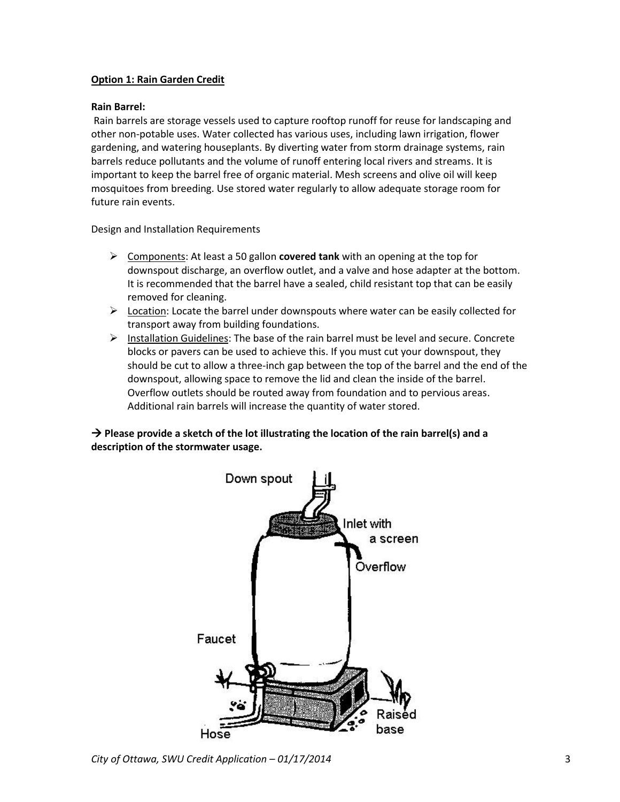# **Option 1: Rain Garden Credit**

## **Rain Barrel:**

Rain barrels are storage vessels used to capture rooftop runoff for reuse for landscaping and other non-potable uses. Water collected has various uses, including lawn irrigation, flower gardening, and watering houseplants. By diverting water from storm drainage systems, rain barrels reduce pollutants and the volume of runoff entering local rivers and streams. It is important to keep the barrel free of organic material. Mesh screens and olive oil will keep mosquitoes from breeding. Use stored water regularly to allow adequate storage room for future rain events.

Design and Installation Requirements

- Components: At least a 50 gallon **covered tank** with an opening at the top for downspout discharge, an overflow outlet, and a valve and hose adapter at the bottom. It is recommended that the barrel have a sealed, child resistant top that can be easily removed for cleaning.
- $\triangleright$  Location: Locate the barrel under downspouts where water can be easily collected for transport away from building foundations.
- $\triangleright$  Installation Guidelines: The base of the rain barrel must be level and secure. Concrete blocks or pavers can be used to achieve this. If you must cut your downspout, they should be cut to allow a three-inch gap between the top of the barrel and the end of the downspout, allowing space to remove the lid and clean the inside of the barrel. Overflow outlets should be routed away from foundation and to pervious areas. Additional rain barrels will increase the quantity of water stored.

**→ Please provide a sketch of the lot illustrating the location of the rain barrel(s) and a description of the stormwater usage.** 



*City of Ottawa, SWU Credit Application – 01/17/2014* 3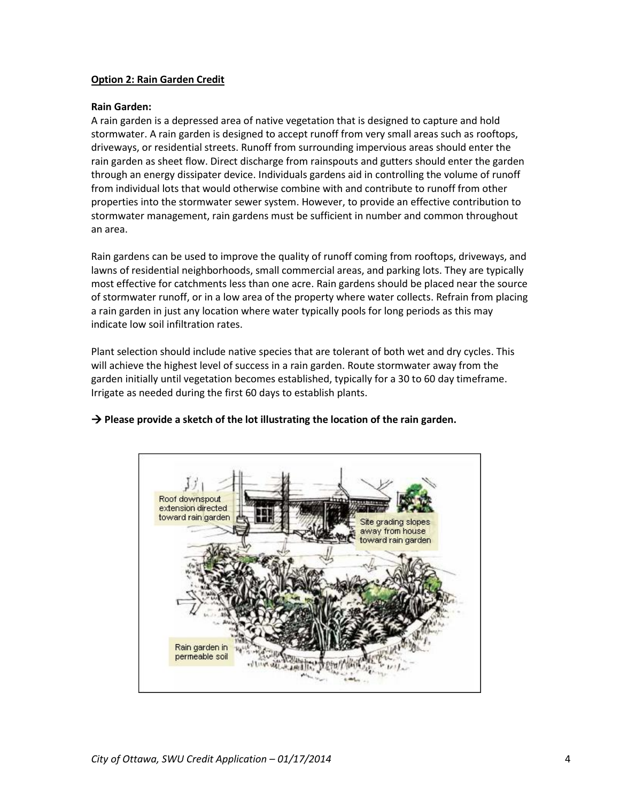## **Option 2: Rain Garden Credit**

### **Rain Garden:**

A rain garden is a depressed area of native vegetation that is designed to capture and hold stormwater. A rain garden is designed to accept runoff from very small areas such as rooftops, driveways, or residential streets. Runoff from surrounding impervious areas should enter the rain garden as sheet flow. Direct discharge from rainspouts and gutters should enter the garden through an energy dissipater device. Individuals gardens aid in controlling the volume of runoff from individual lots that would otherwise combine with and contribute to runoff from other properties into the stormwater sewer system. However, to provide an effective contribution to stormwater management, rain gardens must be sufficient in number and common throughout an area.

Rain gardens can be used to improve the quality of runoff coming from rooftops, driveways, and lawns of residential neighborhoods, small commercial areas, and parking lots. They are typically most effective for catchments less than one acre. Rain gardens should be placed near the source of stormwater runoff, or in a low area of the property where water collects. Refrain from placing a rain garden in just any location where water typically pools for long periods as this may indicate low soil infiltration rates.

Plant selection should include native species that are tolerant of both wet and dry cycles. This will achieve the highest level of success in a rain garden. Route stormwater away from the garden initially until vegetation becomes established, typically for a 30 to 60 day timeframe. Irrigate as needed during the first 60 days to establish plants.



## **→ Please provide a sketch of the lot illustrating the location of the rain garden.**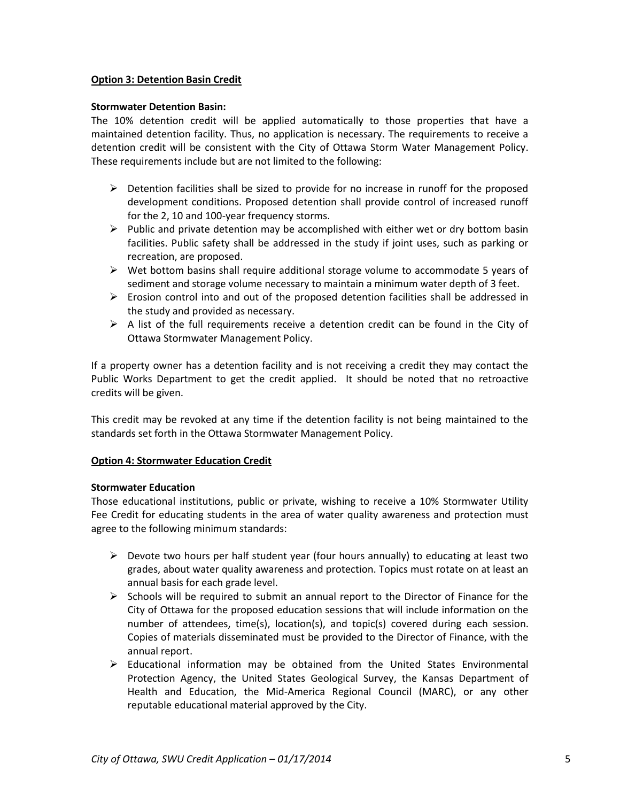## **Option 3: Detention Basin Credit**

### **Stormwater Detention Basin:**

The 10% detention credit will be applied automatically to those properties that have a maintained detention facility. Thus, no application is necessary. The requirements to receive a detention credit will be consistent with the City of Ottawa Storm Water Management Policy. These requirements include but are not limited to the following:

- $\triangleright$  Detention facilities shall be sized to provide for no increase in runoff for the proposed development conditions. Proposed detention shall provide control of increased runoff for the 2, 10 and 100-year frequency storms.
- $\triangleright$  Public and private detention may be accomplished with either wet or dry bottom basin facilities. Public safety shall be addressed in the study if joint uses, such as parking or recreation, are proposed.
- $\triangleright$  Wet bottom basins shall require additional storage volume to accommodate 5 years of sediment and storage volume necessary to maintain a minimum water depth of 3 feet.
- $\triangleright$  Erosion control into and out of the proposed detention facilities shall be addressed in the study and provided as necessary.
- $\triangleright$  A list of the full requirements receive a detention credit can be found in the City of Ottawa Stormwater Management Policy.

If a property owner has a detention facility and is not receiving a credit they may contact the Public Works Department to get the credit applied. It should be noted that no retroactive credits will be given.

This credit may be revoked at any time if the detention facility is not being maintained to the standards set forth in the Ottawa Stormwater Management Policy.

## **Option 4: Stormwater Education Credit**

### **Stormwater Education**

Those educational institutions, public or private, wishing to receive a 10% Stormwater Utility Fee Credit for educating students in the area of water quality awareness and protection must agree to the following minimum standards:

- $\triangleright$  Devote two hours per half student year (four hours annually) to educating at least two grades, about water quality awareness and protection. Topics must rotate on at least an annual basis for each grade level.
- $\triangleright$  Schools will be required to submit an annual report to the Director of Finance for the City of Ottawa for the proposed education sessions that will include information on the number of attendees, time(s), location(s), and topic(s) covered during each session. Copies of materials disseminated must be provided to the Director of Finance, with the annual report.
- $\triangleright$  Educational information may be obtained from the United States Environmental Protection Agency, the United States Geological Survey, the Kansas Department of Health and Education, the Mid-America Regional Council (MARC), or any other reputable educational material approved by the City.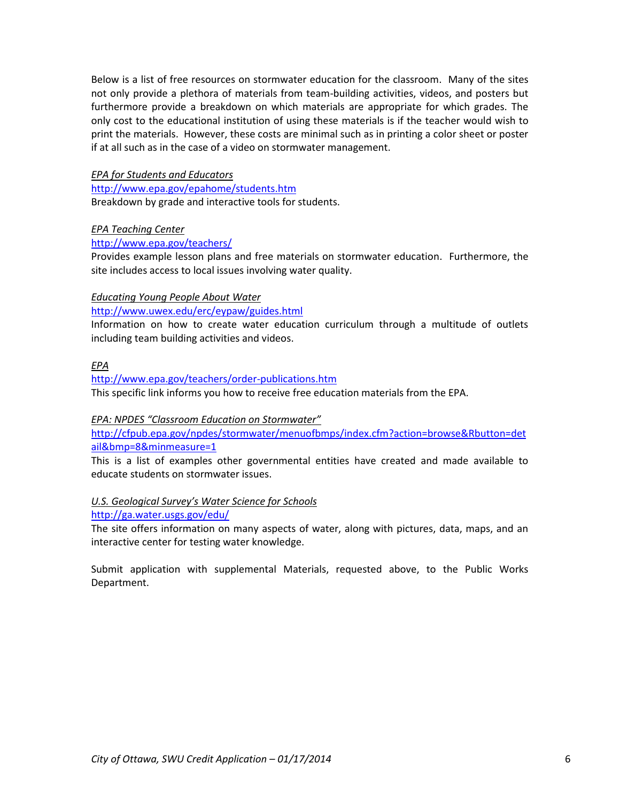Below is a list of free resources on stormwater education for the classroom. Many of the sites not only provide a plethora of materials from team-building activities, videos, and posters but furthermore provide a breakdown on which materials are appropriate for which grades. The only cost to the educational institution of using these materials is if the teacher would wish to print the materials. However, these costs are minimal such as in printing a color sheet or poster if at all such as in the case of a video on stormwater management.

## *EPA for Students and Educators*

<http://www.epa.gov/epahome/students.htm> Breakdown by grade and interactive tools for students.

### *EPA Teaching Center*

### <http://www.epa.gov/teachers/>

Provides example lesson plans and free materials on stormwater education. Furthermore, the site includes access to local issues involving water quality.

### *Educating Young People About Water*

<http://www.uwex.edu/erc/eypaw/guides.html>

Information on how to create water education curriculum through a multitude of outlets including team building activities and videos.

### *EPA*

<http://www.epa.gov/teachers/order-publications.htm> This specific link informs you how to receive free education materials from the EPA.

### *EPA: NPDES "Classroom Education on Stormwater"*

[http://cfpub.epa.gov/npdes/stormwater/menuofbmps/index.cfm?action=browse&Rbutton=det](http://cfpub.epa.gov/npdes/stormwater/menuofbmps/index.cfm?action=browse&Rbutton=detail&bmp=8&minmeasure=1) [ail&bmp=8&minmeasure=1](http://cfpub.epa.gov/npdes/stormwater/menuofbmps/index.cfm?action=browse&Rbutton=detail&bmp=8&minmeasure=1)

This is a list of examples other governmental entities have created and made available to educate students on stormwater issues.

### *U.S. Geological Survey's Water Science for Schools*

<http://ga.water.usgs.gov/edu/>

The site offers information on many aspects of water, along with pictures, data, maps, and an interactive center for testing water knowledge.

Submit application with supplemental Materials, requested above, to the Public Works Department.